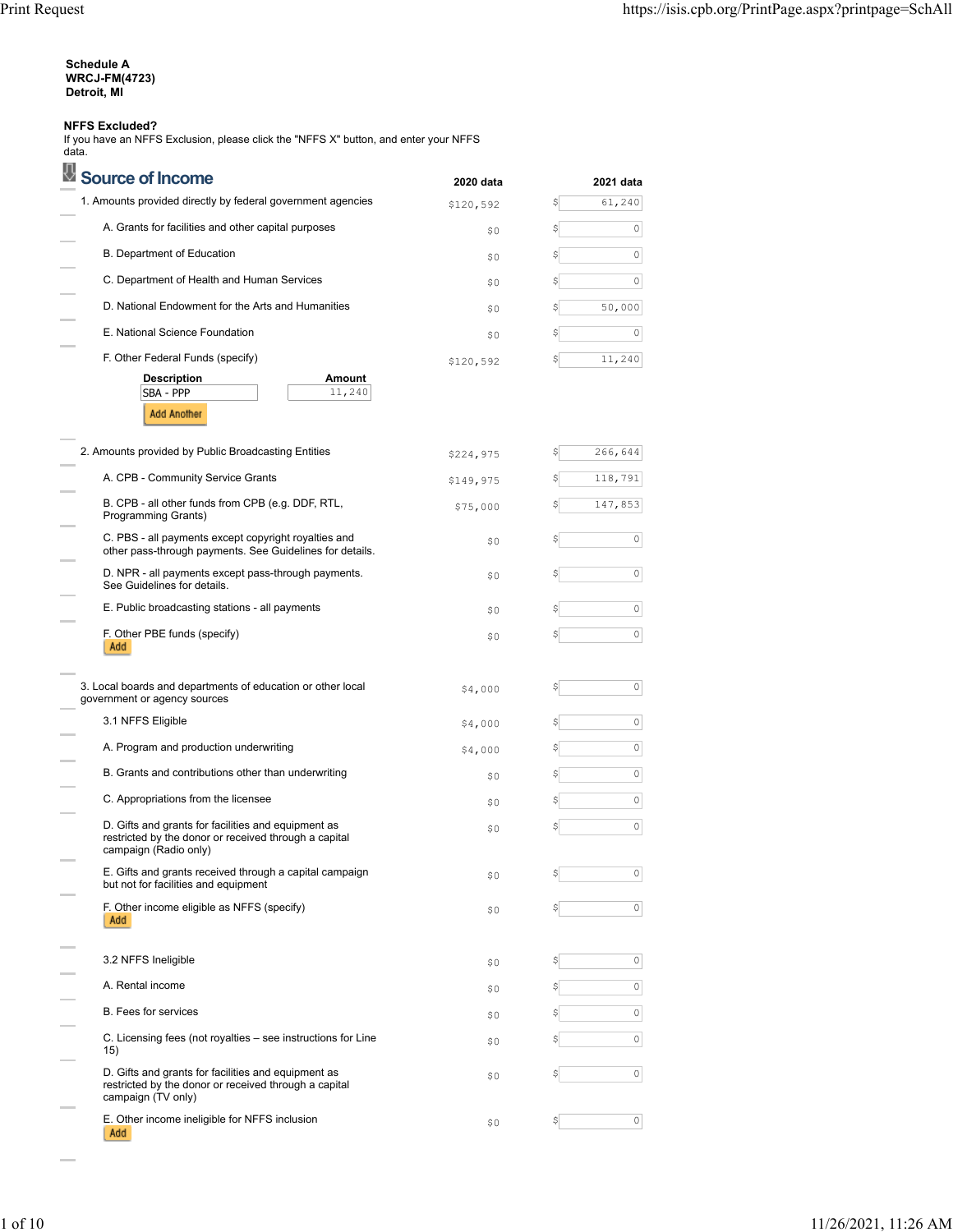| Schedule A           |
|----------------------|
| <b>WRCJ-FM(4723)</b> |
| Detroit. MI          |

#### **NFFS Excluded?**

If you have an NFFS Exclusion, please click the "NFFS X" button, and enter your NFFS data.

| <b>Source of Income</b>                                                                                                               | 2020 data | 2021 data   |
|---------------------------------------------------------------------------------------------------------------------------------------|-----------|-------------|
| 1. Amounts provided directly by federal government agencies                                                                           | \$120,592 | 61,240<br>S |
| A. Grants for facilities and other capital purposes                                                                                   | \$0       | 0<br>\$     |
| B. Department of Education                                                                                                            | \$0       | 0<br>\$     |
| C. Department of Health and Human Services                                                                                            | \$0       | 0           |
| D. National Endowment for the Arts and Humanities                                                                                     | \$O       | 50,000      |
| E. National Science Foundation                                                                                                        | \$0       | 0<br>S      |
| F. Other Federal Funds (specify)                                                                                                      | \$120,592 | 11,240      |
| Amount<br><b>Description</b><br>SBA - PPP<br>11,240<br><b>Add Another</b>                                                             |           |             |
| 2. Amounts provided by Public Broadcasting Entities                                                                                   | \$224,975 | 266,644     |
| A. CPB - Community Service Grants                                                                                                     | \$149,975 | 118,791     |
| B. CPB - all other funds from CPB (e.g. DDF, RTL,<br>Programming Grants)                                                              | \$75,000  | 147,853     |
| C. PBS - all payments except copyright royalties and<br>other pass-through payments. See Guidelines for details.                      | \$0       | 0           |
| D. NPR - all payments except pass-through payments.<br>See Guidelines for details.                                                    | \$0       | 0           |
| E. Public broadcasting stations - all payments                                                                                        | \$0       | $\circ$     |
| F. Other PBE funds (specify)<br>Add                                                                                                   | \$0       | 0           |
| 3. Local boards and departments of education or other local<br>government or agency sources                                           | \$4,000   | 0           |
| 3.1 NFFS Eligible                                                                                                                     | \$4,000   | $\circ$     |
| A. Program and production underwriting                                                                                                | \$4,000   | $\circ$     |
| B. Grants and contributions other than underwriting                                                                                   | \$0       | 0<br>\$     |
| C. Appropriations from the licensee                                                                                                   | \$0       | 0           |
| D. Gifts and grants for facilities and equipment as<br>restricted by the donor or received through a capital<br>campaign (Radio only) | \$0       | $\circ$     |
| E. Gifts and grants received through a capital campaign<br>but not for facilities and equipment                                       | \$0       | 0<br>Ş      |
| F. Other income eligible as NFFS (specify)<br>Add                                                                                     | \$0       | $\circ$     |
| 3.2 NFFS Ineligible                                                                                                                   | \$0       | 0           |
| A. Rental income                                                                                                                      | \$0       | 0           |
| <b>B.</b> Fees for services                                                                                                           | \$0       | 0           |
| C. Licensing fees (not royalties - see instructions for Line<br>15)                                                                   | \$0       | $\circ$     |
| D. Gifts and grants for facilities and equipment as<br>restricted by the donor or received through a capital<br>campaign (TV only)    | \$0       | 0           |
| E. Other income ineligible for NFFS inclusion                                                                                         | \$0       | 0<br>Ş      |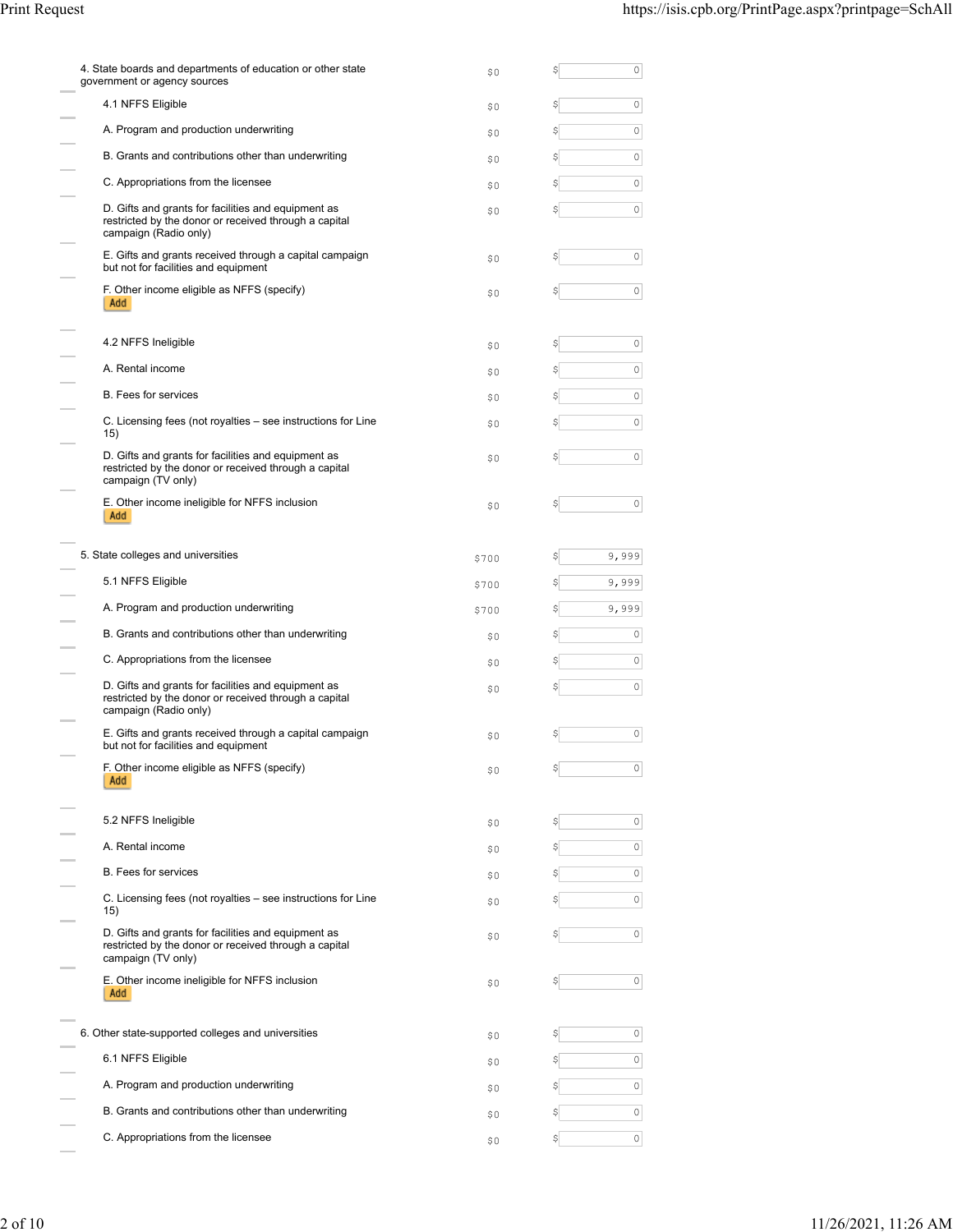| \$0   | \$ | 0       |
|-------|----|---------|
| \$0   |    | 0       |
| \$0   | \$ | 0       |
| \$0   |    | 0       |
| \$0   | \$ | 0       |
| \$0   |    | $\circ$ |
| \$0   |    | 0       |
| \$0   | \$ | 0       |
| \$0   |    | 0       |
| \$0   | S  | 0       |
| \$0   |    | $\circ$ |
| \$0   |    | 0       |
| \$0   |    | 0       |
| \$0   |    | 0       |
| \$700 | \$ | 9,999   |
| \$700 |    | 9,999   |
| \$700 |    | 9,999   |
| \$0   |    | 0       |
| \$0   |    | 0       |
| \$0   | \$ | $\circ$ |
|       |    |         |
| \$0   | \$ | 0       |
| \$0   | Ş  | 0       |
| \$0   |    | 0       |
| \$0   |    | 0       |
| \$0   |    | 0       |
| \$0   |    | 0       |
| \$0   |    | 0       |
| \$0   | \$ | 0       |
| \$0   |    | 0       |
| \$0   |    | $\circ$ |
| \$0   |    | 0       |
| \$0   |    | 0       |
|       |    |         |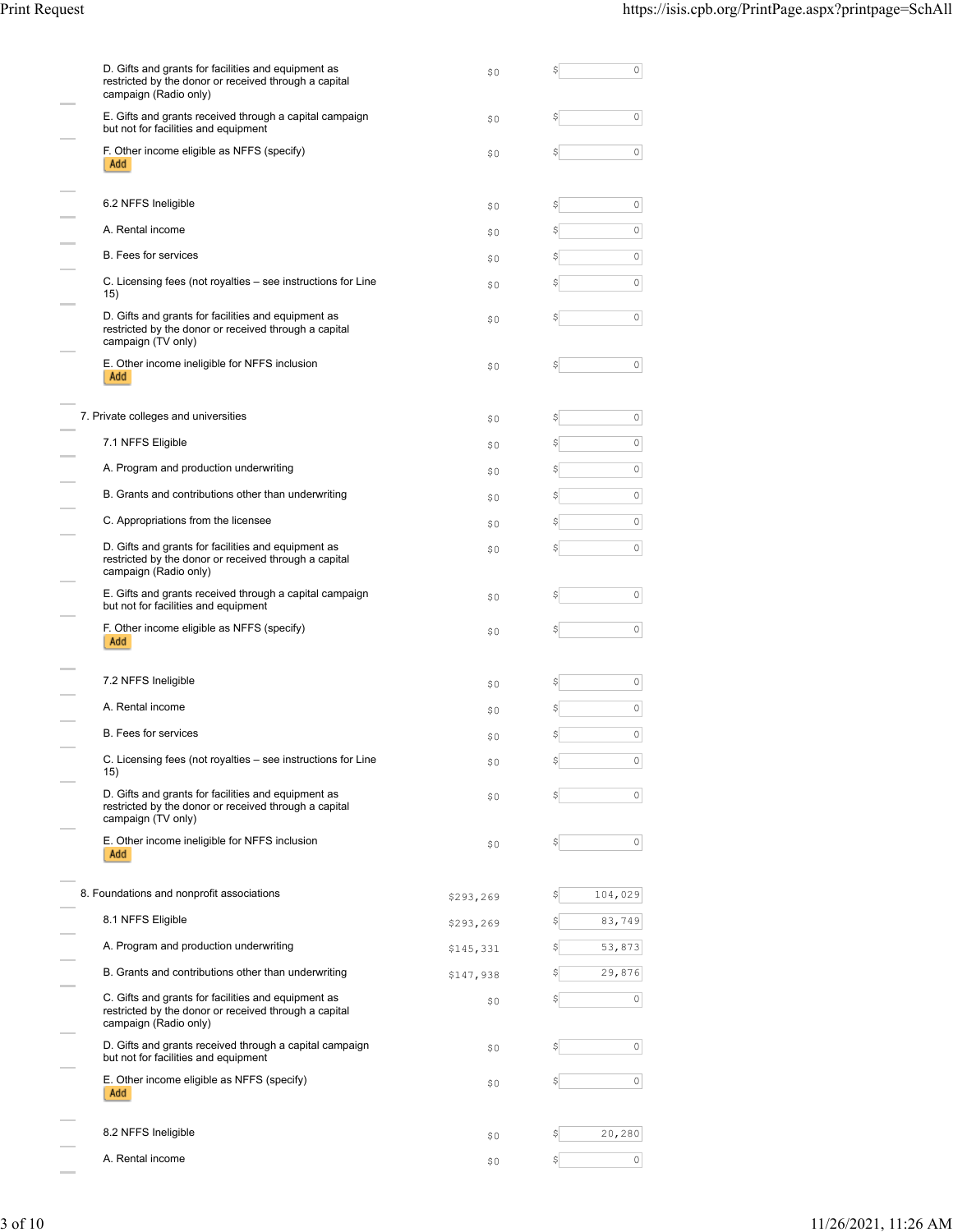| D. Gifts and grants for facilities and equipment as<br>restricted by the donor or received through a capital<br>campaign (Radio only) | \$0       | \$<br>0       |
|---------------------------------------------------------------------------------------------------------------------------------------|-----------|---------------|
| E. Gifts and grants received through a capital campaign<br>but not for facilities and equipment                                       | \$0       | 0<br>\$       |
| F. Other income eligible as NFFS (specify)<br>Add                                                                                     | \$0       | 0<br>\$       |
| 6.2 NFFS Ineligible                                                                                                                   | \$0       | 0<br>\$       |
| A. Rental income                                                                                                                      | \$0       | 0<br>\$       |
| <b>B.</b> Fees for services                                                                                                           | \$0       | 0<br>\$       |
| C. Licensing fees (not royalties - see instructions for Line<br>15)                                                                   | \$0       | 0<br>\$       |
| D. Gifts and grants for facilities and equipment as<br>restricted by the donor or received through a capital<br>campaign (TV only)    | \$0       | 0<br>Ş        |
| E. Other income ineligible for NFFS inclusion<br>Add                                                                                  | \$0       | 0<br>\$       |
| 7. Private colleges and universities                                                                                                  | \$0       | 0<br>\$       |
| 7.1 NFFS Eligible                                                                                                                     | \$0       | 0<br>\$       |
| A. Program and production underwriting                                                                                                | \$0       | 0<br>\$       |
| B. Grants and contributions other than underwriting                                                                                   | \$0       | $\circ$<br>\$ |
| C. Appropriations from the licensee                                                                                                   | \$0       | 0<br>\$       |
| D. Gifts and grants for facilities and equipment as<br>restricted by the donor or received through a capital<br>campaign (Radio only) | \$0       | 0<br>\$       |
| E. Gifts and grants received through a capital campaign<br>but not for facilities and equipment                                       | \$0       | 0<br>\$       |
|                                                                                                                                       |           |               |
| F. Other income eligible as NFFS (specify)<br>Add                                                                                     | \$0       | 0<br>Ş        |
| 7.2 NFFS Ineligible                                                                                                                   | \$0       | 0<br>Ş        |
| A. Rental income                                                                                                                      | \$0       | 0<br>Ş        |
| <b>B.</b> Fees for services                                                                                                           | \$0       | 0<br>\$       |
| C. Licensing fees (not royalties - see instructions for Line<br>15)                                                                   | Ş0        | 0             |
| D. Gifts and grants for facilities and equipment as<br>restricted by the donor or received through a capital<br>campaign (TV only)    | \$0       | 0<br>\$       |
| E. Other income ineligible for NFFS inclusion<br>Add                                                                                  | \$0       | 0<br>\$       |
| 8. Foundations and nonprofit associations                                                                                             | \$293,269 | 104,029<br>S  |
| 8.1 NFFS Eligible                                                                                                                     | \$293,269 | 83,749        |
| A. Program and production underwriting                                                                                                | \$145,331 | 53,873<br>S   |
| B. Grants and contributions other than underwriting                                                                                   | \$147,938 | \$<br>29,876  |
| C. Gifts and grants for facilities and equipment as<br>restricted by the donor or received through a capital<br>campaign (Radio only) | \$0       | 0<br>\$       |
| D. Gifts and grants received through a capital campaign<br>but not for facilities and equipment                                       | \$0       | 0<br>\$       |
| E. Other income eligible as NFFS (specify)<br>Add                                                                                     | \$0       | 0<br>Ş        |
| 8.2 NFFS Ineligible                                                                                                                   | \$0       | 20,280<br>\$  |
| A. Rental income                                                                                                                      | \$0       | 0<br>\$       |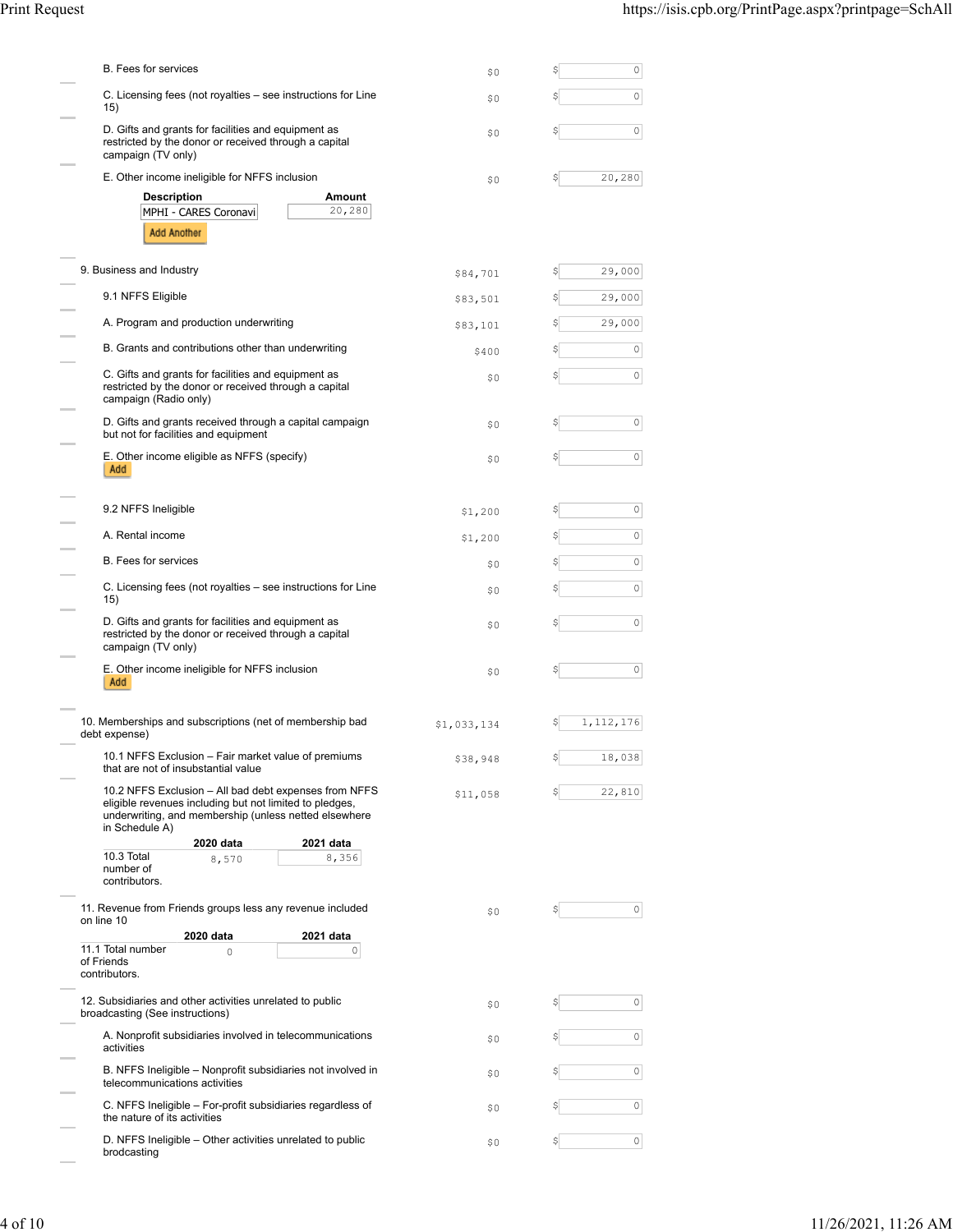| <b>B.</b> Fees for services                                                                                                                                                                                           | \$0         | Ş  | 0         |
|-----------------------------------------------------------------------------------------------------------------------------------------------------------------------------------------------------------------------|-------------|----|-----------|
| C. Licensing fees (not royalties – see instructions for Line<br>15)                                                                                                                                                   | \$0         |    | 0         |
| D. Gifts and grants for facilities and equipment as<br>restricted by the donor or received through a capital<br>campaign (TV only)                                                                                    | \$0         |    | 0         |
| E. Other income ineligible for NFFS inclusion                                                                                                                                                                         | \$0         | S  | 20,280    |
| Amount<br><b>Description</b><br>20,280<br>MPHI - CARES Coronavi<br><b>Add Another</b>                                                                                                                                 |             |    |           |
| 9. Business and Industry                                                                                                                                                                                              | \$84,701    | S  | 29,000    |
| 9.1 NFFS Eligible                                                                                                                                                                                                     | \$83,501    |    | 29,000    |
| A. Program and production underwriting                                                                                                                                                                                | \$83,101    |    | 29,000    |
| B. Grants and contributions other than underwriting                                                                                                                                                                   | \$400       | S  | 0         |
| C. Gifts and grants for facilities and equipment as<br>restricted by the donor or received through a capital<br>campaign (Radio only)                                                                                 | \$0         |    | 0         |
| D. Gifts and grants received through a capital campaign<br>but not for facilities and equipment                                                                                                                       | \$0         |    | 0         |
| E. Other income eligible as NFFS (specify)<br>Add                                                                                                                                                                     | \$0         | S  | 0         |
| 9.2 NFFS Ineligible                                                                                                                                                                                                   | \$1,200     |    | 0         |
| A. Rental income                                                                                                                                                                                                      | \$1,200     |    | 0         |
| B. Fees for services                                                                                                                                                                                                  | \$0         |    | 0         |
| C. Licensing fees (not royalties – see instructions for Line<br>15)                                                                                                                                                   | \$0         |    | 0         |
| D. Gifts and grants for facilities and equipment as<br>restricted by the donor or received through a capital<br>campaign (TV only)                                                                                    | \$0         |    | 0         |
| E. Other income ineligible for NFFS inclusion<br>Add                                                                                                                                                                  | \$0         |    | 0         |
| 10. Memberships and subscriptions (net of membership bad<br>debt expense)                                                                                                                                             | \$1,033,134 | Ş  | 1,112,176 |
| 10.1 NFFS Exclusion - Fair market value of premiums<br>that are not of insubstantial value                                                                                                                            | \$38,948    |    | 18,038    |
| 10.2 NFFS Exclusion - All bad debt expenses from NFFS<br>eligible revenues including but not limited to pledges,<br>underwriting, and membership (unless netted elsewhere<br>in Schedule A)<br>2020 data<br>2021 data | \$11,058    | \$ | 22,810    |
| 10.3 Total<br>8,356<br>8,570<br>number of<br>contributors.                                                                                                                                                            |             |    |           |
| 11. Revenue from Friends groups less any revenue included<br>on line 10<br>2021 data<br>2020 data                                                                                                                     | \$0         | \$ | 0         |
| 11.1 Total number<br>0<br>0<br>of Friends<br>contributors.                                                                                                                                                            |             |    |           |
| 12. Subsidiaries and other activities unrelated to public<br>broadcasting (See instructions)                                                                                                                          | \$0         |    | 0         |
| A. Nonprofit subsidiaries involved in telecommunications<br>activities                                                                                                                                                | \$0         |    | 0         |
| B. NFFS Ineligible - Nonprofit subsidiaries not involved in<br>telecommunications activities                                                                                                                          | \$0         |    | $\circ$   |
| C. NFFS Ineligible - For-profit subsidiaries regardless of<br>the nature of its activities                                                                                                                            | \$0         |    | 0         |
| D. NFFS Ineligible – Other activities unrelated to public<br>brodcasting                                                                                                                                              | \$0         | \$ | 0         |

÷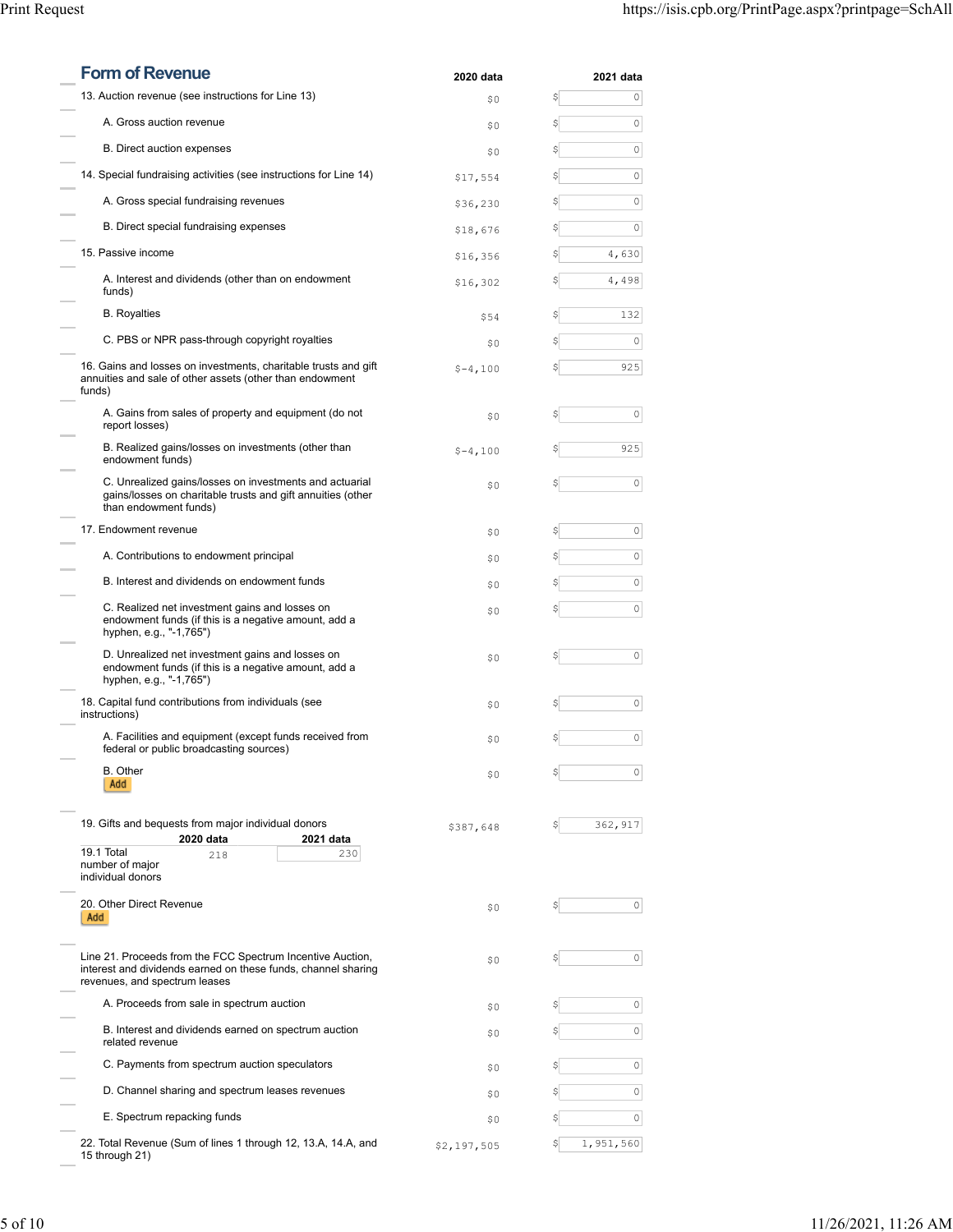| <b>Form of Revenue</b>                                                                                                                                       | 2020 data   | 2021 data        |
|--------------------------------------------------------------------------------------------------------------------------------------------------------------|-------------|------------------|
| 13. Auction revenue (see instructions for Line 13)                                                                                                           | \$0         | \$<br>0          |
| A. Gross auction revenue                                                                                                                                     | \$0         | \$<br>$\circ$    |
| B. Direct auction expenses                                                                                                                                   | \$0         | 0<br>\$          |
| 14. Special fundraising activities (see instructions for Line 14)                                                                                            | \$17,554    | $\circ$<br>\$    |
| A. Gross special fundraising revenues                                                                                                                        | \$36,230    | 0<br>\$          |
| B. Direct special fundraising expenses                                                                                                                       | \$18,676    | 0<br>\$          |
| 15. Passive income                                                                                                                                           | \$16,356    | 4,630<br>\$      |
| A. Interest and dividends (other than on endowment<br>funds)                                                                                                 | \$16,302    | 4,498<br>\$      |
| <b>B.</b> Royalties                                                                                                                                          | \$54        | 132<br>S         |
| C. PBS or NPR pass-through copyright royalties                                                                                                               | \$0         | 0<br>\$          |
| 16. Gains and losses on investments, charitable trusts and gift<br>annuities and sale of other assets (other than endowment<br>funds)                        | $$-4,100$   | 925<br>\$        |
| A. Gains from sales of property and equipment (do not<br>report losses)                                                                                      | \$0         | 0<br>\$          |
| B. Realized gains/losses on investments (other than<br>endowment funds)                                                                                      | $$-4,100$   | 925<br>\$        |
| C. Unrealized gains/losses on investments and actuarial<br>gains/losses on charitable trusts and gift annuities (other<br>than endowment funds)              | \$0         | 0<br>\$          |
| 17. Endowment revenue                                                                                                                                        | \$0         | 0<br>\$          |
| A. Contributions to endowment principal                                                                                                                      | \$0         | 0<br>\$          |
| B. Interest and dividends on endowment funds                                                                                                                 | \$0         | 0<br>\$          |
| C. Realized net investment gains and losses on<br>endowment funds (if this is a negative amount, add a<br>hyphen, e.g., "-1,765")                            | \$0         | $\circ$<br>\$    |
| D. Unrealized net investment gains and losses on<br>endowment funds (if this is a negative amount, add a<br>hyphen, e.g., "-1,765")                          | \$0         | 0<br>\$          |
| 18. Capital fund contributions from individuals (see<br>instructions)                                                                                        | \$0         | 0<br>S           |
| A. Facilities and equipment (except funds received from<br>federal or public broadcasting sources)                                                           | \$0         | 0<br>\$          |
| B. Other<br>Add                                                                                                                                              | \$0         | \$<br>0          |
| 19. Gifts and bequests from major individual donors<br>2020 data<br>2021 data<br>19.1 Total<br>230<br>218<br>number of maior<br>individual donors            | \$387,648   | 362,917<br>S     |
| 20. Other Direct Revenue<br>Add                                                                                                                              | \$0         | 0<br>\$          |
| Line 21. Proceeds from the FCC Spectrum Incentive Auction,<br>interest and dividends earned on these funds, channel sharing<br>revenues, and spectrum leases | \$0         | 0<br>\$          |
| A. Proceeds from sale in spectrum auction                                                                                                                    | \$0         | 0<br>S           |
| B. Interest and dividends earned on spectrum auction<br>related revenue                                                                                      | \$0         | $\circ$<br>\$    |
| C. Payments from spectrum auction speculators                                                                                                                | \$0         | 0<br>S           |
| D. Channel sharing and spectrum leases revenues                                                                                                              | \$0         | 0<br>\$          |
| E. Spectrum repacking funds                                                                                                                                  | \$0         | 0<br>S           |
| 22. Total Revenue (Sum of lines 1 through 12, 13.A, 14.A, and<br>15 through 21)                                                                              | \$2,197,505 | 1,951,560<br>\$I |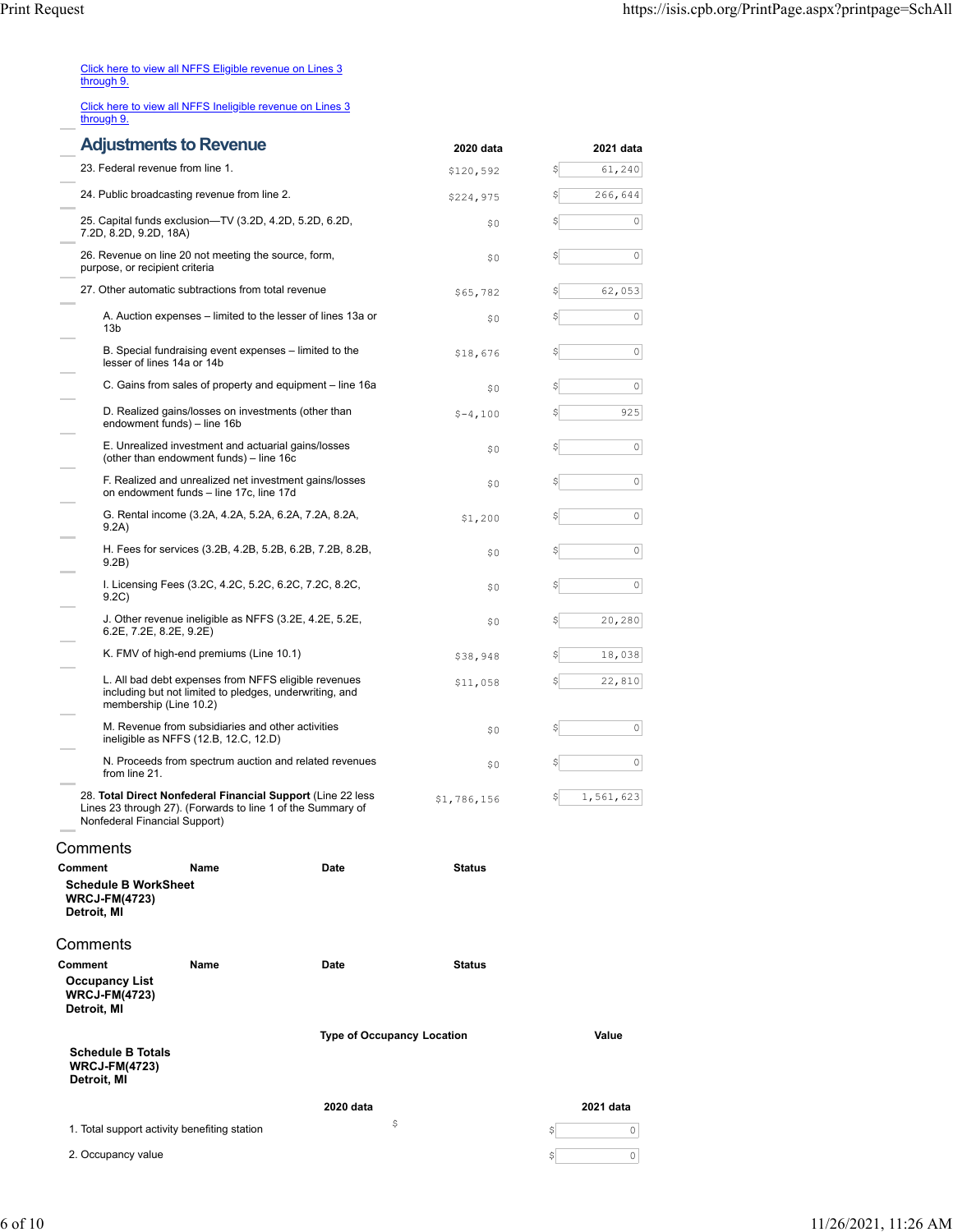| Click here to view all NFFS Eligible revenue on Lines 3 |  |  |  |
|---------------------------------------------------------|--|--|--|
| through 9.                                              |  |  |  |
|                                                         |  |  |  |

[Click here to view all NFFS Ineligible revenue on Lines 3](https://isis.cpb.org/ScheduleASupplement.aspx?report=2) [through 9.](https://isis.cpb.org/ScheduleASupplement.aspx?report=2)

|                                                                         | <b>Adjustments to Revenue</b>                                                                                                             |                                   | 2020 data     | 2021 data |
|-------------------------------------------------------------------------|-------------------------------------------------------------------------------------------------------------------------------------------|-----------------------------------|---------------|-----------|
| 23. Federal revenue from line 1.                                        |                                                                                                                                           |                                   | \$120,592     | 61,240    |
|                                                                         | 24. Public broadcasting revenue from line 2.                                                                                              |                                   | \$224,975     | 266,644   |
|                                                                         | 25. Capital funds exclusion-TV (3.2D, 4.2D, 5.2D, 6.2D,<br>7.2D, 8.2D, 9.2D, 18A)                                                         |                                   | \$0           | 0         |
| purpose, or recipient criteria                                          | 26. Revenue on line 20 not meeting the source, form,                                                                                      |                                   | \$0           | 0         |
|                                                                         | 27. Other automatic subtractions from total revenue                                                                                       |                                   | \$65,782      | 62,053    |
| 13 <sub>b</sub>                                                         | A. Auction expenses – limited to the lesser of lines 13a or                                                                               |                                   | \$0           | 0         |
|                                                                         | B. Special fundraising event expenses – limited to the<br>lesser of lines 14a or 14b                                                      |                                   | \$18,676      | 0         |
|                                                                         | C. Gains from sales of property and equipment - line 16a                                                                                  |                                   | \$0           | 0         |
|                                                                         | D. Realized gains/losses on investments (other than<br>endowment funds) - line 16b                                                        |                                   | $$-4,100$     | 925       |
|                                                                         | E. Unrealized investment and actuarial gains/losses<br>(other than endowment funds) - line 16c                                            |                                   | \$0           | 0         |
|                                                                         | F. Realized and unrealized net investment gains/losses<br>on endowment funds - line 17c, line 17d                                         |                                   | \$0           | 0         |
| 9.2A)                                                                   | G. Rental income (3.2A, 4.2A, 5.2A, 6.2A, 7.2A, 8.2A,                                                                                     |                                   | \$1,200       | 0         |
| 9.2B)                                                                   | H. Fees for services (3.2B, 4.2B, 5.2B, 6.2B, 7.2B, 8.2B,                                                                                 |                                   | \$0           | 0         |
| 9.2C)                                                                   | I. Licensing Fees (3.2C, 4.2C, 5.2C, 6.2C, 7.2C, 8.2C,<br>\$0                                                                             |                                   |               | 0         |
| 6.2E, 7.2E, 8.2E, 9.2E)                                                 | J. Other revenue ineligible as NFFS (3.2E, 4.2E, 5.2E,                                                                                    |                                   | \$0           | 20,280    |
|                                                                         | K. FMV of high-end premiums (Line 10.1)                                                                                                   |                                   | \$38,948      | 18,038    |
|                                                                         | L. All bad debt expenses from NFFS eligible revenues<br>including but not limited to pledges, underwriting, and<br>membership (Line 10.2) |                                   | \$11,058      | 22,810    |
|                                                                         | M. Revenue from subsidiaries and other activities<br>ineligible as NFFS (12.B, 12.C, 12.D)                                                |                                   | \$0           | 0         |
| from line 21.                                                           | N. Proceeds from spectrum auction and related revenues                                                                                    |                                   | \$0           | 0         |
| Nonfederal Financial Support)                                           | 28. Total Direct Nonfederal Financial Support (Line 22 less<br>Lines 23 through 27). (Forwards to line 1 of the Summary of                |                                   | \$1,786,156   | 1,561,623 |
| Comments                                                                |                                                                                                                                           |                                   |               |           |
| Comment                                                                 | Name                                                                                                                                      | Date                              | <b>Status</b> |           |
| <b>Schedule B WorkSheet</b><br><b>WRCJ-FM(4723)</b><br>Detroit, MI      |                                                                                                                                           |                                   |               |           |
| Comments                                                                |                                                                                                                                           |                                   |               |           |
| Comment<br><b>Occupancy List</b><br><b>WRCJ-FM(4723)</b><br>Detroit, MI | Name                                                                                                                                      | Date                              | <b>Status</b> |           |
|                                                                         |                                                                                                                                           | <b>Type of Occupancy Location</b> |               | Value     |
| <b>Schedule B Totals</b><br><b>WRCJ-FM(4723)</b><br>Detroit, MI         |                                                                                                                                           |                                   |               |           |
|                                                                         |                                                                                                                                           | 2020 data                         |               | 2021 data |
|                                                                         | 1. Total support activity benefiting station                                                                                              | \$                                |               | \$<br>0   |
| 2. Occupancy value                                                      |                                                                                                                                           |                                   |               | \$<br>0   |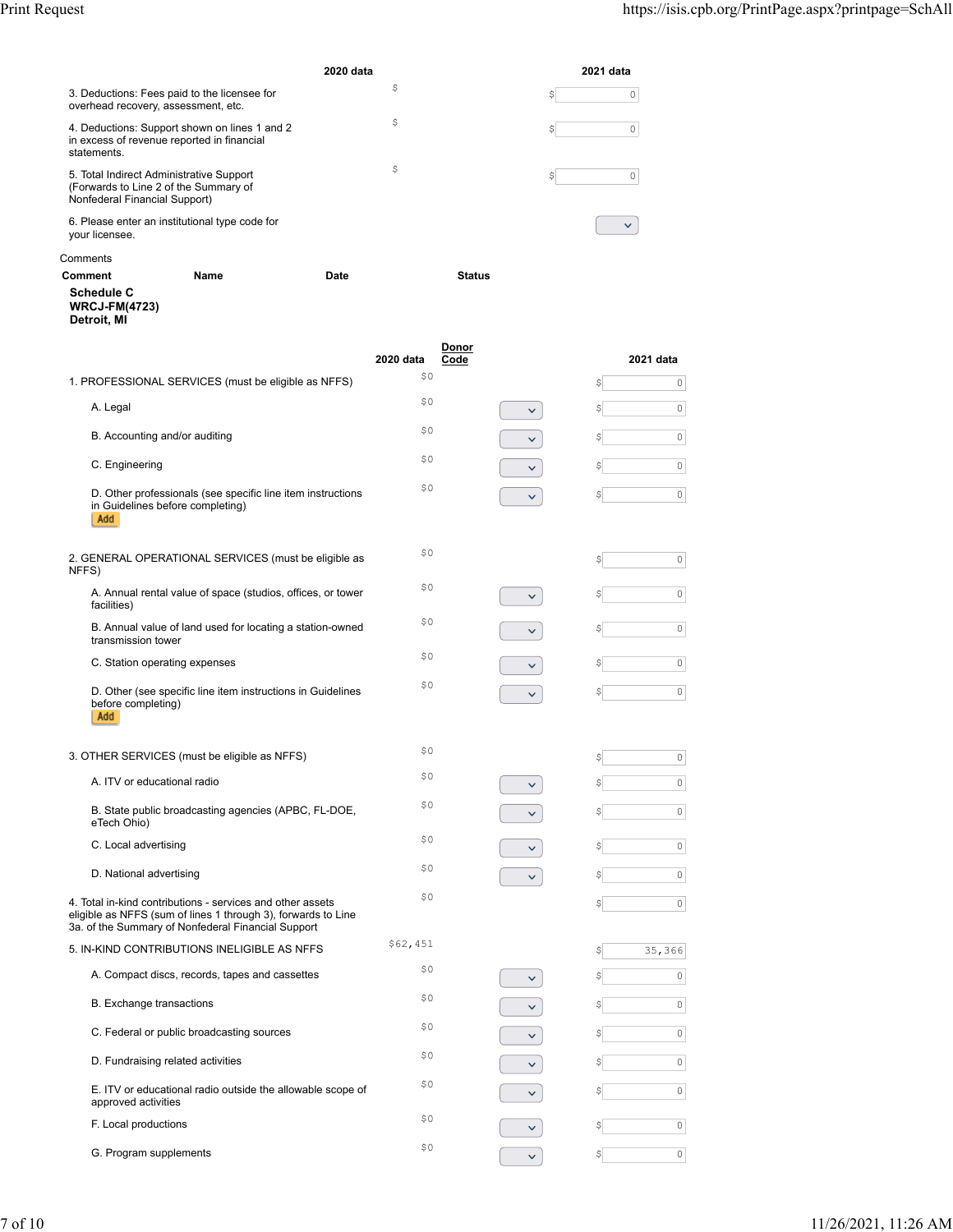**[Code](https://isis.cpb.org/PrintPage.aspx?printpage=SchAll#) 2021 data**

|                                                                                                                    | 2020 data | 2021 data |
|--------------------------------------------------------------------------------------------------------------------|-----------|-----------|
| 3. Deductions: Fees paid to the licensee for<br>overhead recovery, assessment, etc.                                | \$        | \$        |
| 4. Deductions: Support shown on lines 1 and 2<br>in excess of revenue reported in financial<br>statements.         | \$        | \$        |
| 5. Total Indirect Administrative Support<br>(Forwards to Line 2 of the Summary of<br>Nonfederal Financial Support) | \$        | \$        |
| 6. Please enter an institutional type code for<br>your licensee.                                                   |           |           |

## Comments

| Comment                                                  | Name                                                                                                                                                                                                                                                                                                                                                              | Date      | <b>Status</b> |  |
|----------------------------------------------------------|-------------------------------------------------------------------------------------------------------------------------------------------------------------------------------------------------------------------------------------------------------------------------------------------------------------------------------------------------------------------|-----------|---------------|--|
| <b>Schedule C</b><br><b>WRCJ-FM(4723)</b><br>Detroit, MI |                                                                                                                                                                                                                                                                                                                                                                   |           |               |  |
|                                                          |                                                                                                                                                                                                                                                                                                                                                                   | 2020 data | Donor<br>Code |  |
|                                                          | $\overline{1}$ PROFECOLOMIAL OFFN 40FO $\overline{1}$ $\overline{1}$ $\overline{1}$ $\overline{1}$ $\overline{1}$ $\overline{1}$ $\overline{1}$ $\overline{1}$ $\overline{1}$ $\overline{1}$ $\overline{1}$ $\overline{1}$ $\overline{1}$ $\overline{1}$ $\overline{1}$ $\overline{1}$ $\overline{1}$ $\overline{1}$ $\overline{1}$ $\overline{1}$ $\overline{1}$ | \$0       |               |  |

| 1. PROFESSIONAL SERVICES (must be eligible as NFFS)                                                                                                                               | \$0      |              | \$ | $\mathbb O$         |
|-----------------------------------------------------------------------------------------------------------------------------------------------------------------------------------|----------|--------------|----|---------------------|
| A. Legal                                                                                                                                                                          | \$0      | $\checkmark$ | \$ | $\circ$             |
| B. Accounting and/or auditing                                                                                                                                                     | \$0      | $\checkmark$ | \$ | $\mathsf{O}\xspace$ |
| C. Engineering                                                                                                                                                                    | \$0      | $\checkmark$ | \$ | $\mathbb O$         |
| D. Other professionals (see specific line item instructions<br>in Guidelines before completing)<br>Add                                                                            | \$0      | $\checkmark$ | \$ | $\mathbb O$         |
| 2. GENERAL OPERATIONAL SERVICES (must be eligible as<br>NFFS)                                                                                                                     | \$0      |              |    | $\mathbb O$         |
| A. Annual rental value of space (studios, offices, or tower<br>facilities)                                                                                                        | \$0      | v            | \$ | $\circ$             |
| B. Annual value of land used for locating a station-owned<br>transmission tower                                                                                                   | \$0      | ×.           | \$ | $\mathbb O$         |
| C. Station operating expenses                                                                                                                                                     | \$0      | $\checkmark$ |    | $\circ$             |
| D. Other (see specific line item instructions in Guidelines<br>before completing)<br>Add                                                                                          | \$0      | $\checkmark$ | \$ | $\overline{0}$      |
| 3. OTHER SERVICES (must be eligible as NFFS)                                                                                                                                      | \$0      |              | \$ | $\circ$             |
| A. ITV or educational radio                                                                                                                                                       | \$0      | $\checkmark$ | \$ | $\mathsf{O}\xspace$ |
| B. State public broadcasting agencies (APBC, FL-DOE,<br>eTech Ohio)                                                                                                               | \$0      |              |    | $\mathsf{O}\xspace$ |
| C. Local advertising                                                                                                                                                              | \$0      | $\checkmark$ | \$ | $\circ$             |
| D. National advertising                                                                                                                                                           | \$0      | $\checkmark$ |    | $\mathsf{O}\xspace$ |
| 4. Total in-kind contributions - services and other assets<br>eligible as NFFS (sum of lines 1 through 3), forwards to Line<br>3a. of the Summary of Nonfederal Financial Support | \$0      |              | \$ | $\circ$             |
| 5. IN-KIND CONTRIBUTIONS INELIGIBLE AS NFFS                                                                                                                                       | \$62,451 |              | \$ | 35,366              |
| A. Compact discs, records, tapes and cassettes                                                                                                                                    | \$0      | v.           |    | $\circ$             |
| B. Exchange transactions                                                                                                                                                          | \$0      | v.           | \$ | $\mathbb O$         |
| C. Federal or public broadcasting sources                                                                                                                                         | \$0      | $\checkmark$ |    | $\mathbb O$         |
| D. Fundraising related activities                                                                                                                                                 | \$0      | $\checkmark$ | Ş  | $\circ$             |
| E. ITV or educational radio outside the allowable scope of<br>approved activities                                                                                                 | \$0      | $\checkmark$ |    | $\mathbb O$         |
| F. Local productions                                                                                                                                                              | \$0      | $\checkmark$ |    | $\circ$             |
| G. Program supplements                                                                                                                                                            | \$0      | $\checkmark$ | \$ | $\mathbf{0}$        |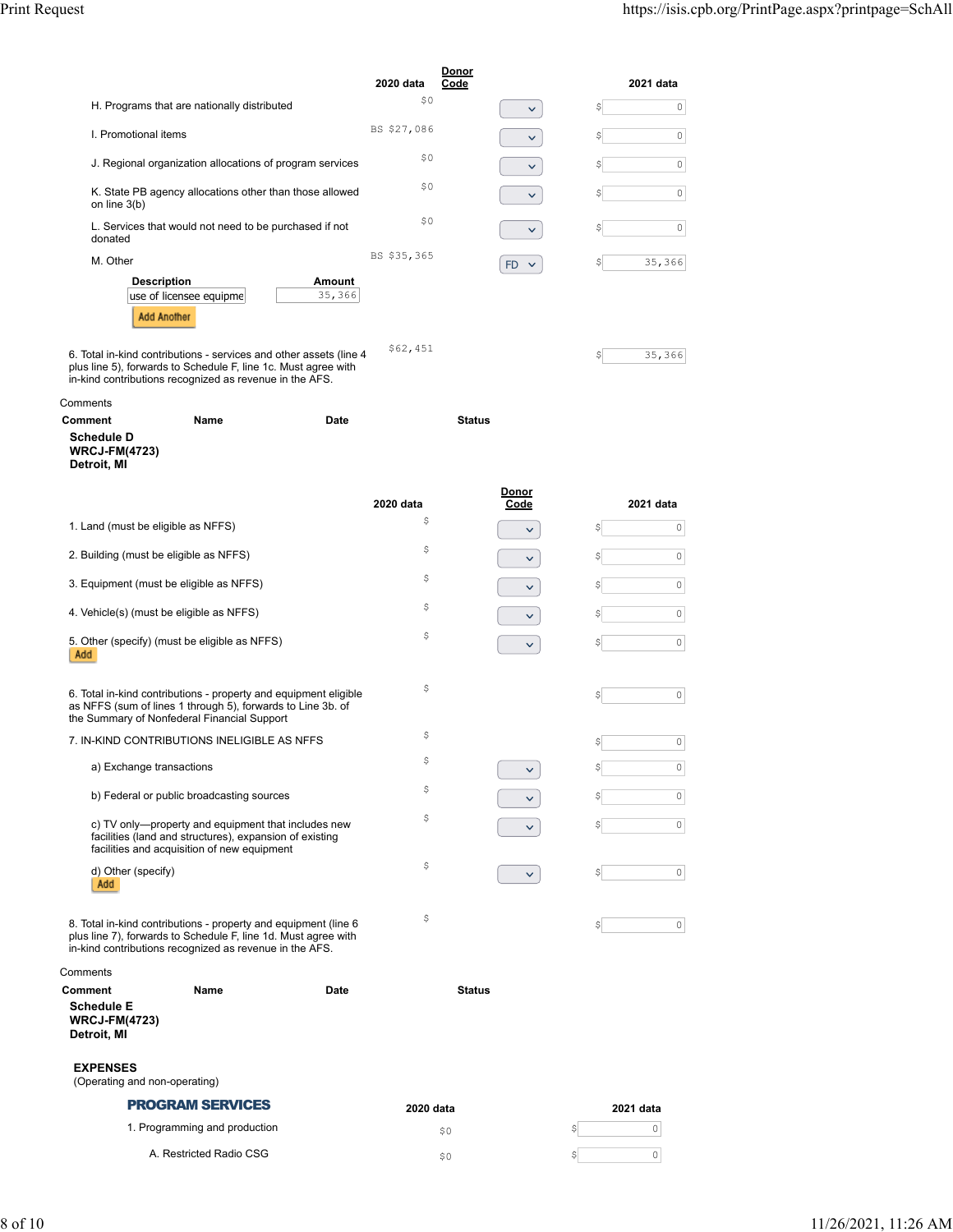|                                                                                                |             | Donor                     |                    |
|------------------------------------------------------------------------------------------------|-------------|---------------------------|--------------------|
|                                                                                                | 2020 data   | Code                      | 2021 data          |
| H. Programs that are nationally distributed                                                    | \$0         | $\check{ }$               | S<br>0             |
| I. Promotional items                                                                           | BS \$27,086 | $\checkmark$              | 0<br>\$            |
| J. Regional organization allocations of program services                                       | \$0         | $\checkmark$              | $\mathbf{0}$<br>\$ |
| K. State PB agency allocations other than those allowed<br>on line $3(b)$                      | \$0         | $\checkmark$              | 0<br>\$            |
| L. Services that would not need to be purchased if not<br>donated                              | \$0         | $\checkmark$              | 0<br>\$            |
| M. Other                                                                                       | BS \$35,365 | <b>FD</b><br>$\checkmark$ | 35,366<br>\$       |
| <b>Description</b><br><b>Amount</b><br>35,366<br>use of licensee equipme<br><b>Add Another</b> |             |                           |                    |
| Total in-kind contributions - services and other assets (line 4                                | \$62,451    |                           | 35,366<br>\$       |

6. Total in-kind contributions - services and other assets (line 4 plus line 5), forwards to Schedule F, line 1c. Must agree with in-kind contributions recognized as revenue in the AFS.

| Comments                                                 |      |      |               |
|----------------------------------------------------------|------|------|---------------|
| Comment                                                  | Name | Date | <b>Status</b> |
| <b>Schedule D</b><br><b>WRCJ-FM(4723)</b><br>Detroit, MI |      |      |               |

|                                                                                                                                                                                              | 2020 data | Donor<br>Code | 2021 data      |
|----------------------------------------------------------------------------------------------------------------------------------------------------------------------------------------------|-----------|---------------|----------------|
| 1. Land (must be eligible as NFFS)                                                                                                                                                           | \$        | $\checkmark$  | \$<br>0        |
| 2. Building (must be eligible as NFFS)                                                                                                                                                       | \$        |               | 0<br>S         |
| 3. Equipment (must be eligible as NFFS)                                                                                                                                                      | \$        |               | 0              |
| 4. Vehicle(s) (must be eligible as NFFS)                                                                                                                                                     | \$        |               | 0              |
| 5. Other (specify) (must be eligible as NFFS)<br>Add                                                                                                                                         | \$        |               | 0              |
| 6. Total in-kind contributions - property and equipment eligible<br>as NFFS (sum of lines 1 through 5), forwards to Line 3b. of<br>the Summary of Nonfederal Financial Support               | \$        |               | 0<br>S         |
| 7. IN-KIND CONTRIBUTIONS INELIGIBLE AS NFFS                                                                                                                                                  | \$        |               | 0              |
| a) Exchange transactions                                                                                                                                                                     | \$        |               | 0              |
| b) Federal or public broadcasting sources                                                                                                                                                    | \$        |               | 0              |
| c) TV only—property and equipment that includes new<br>facilities (land and structures), expansion of existing<br>facilities and acquisition of new equipment                                | \$        |               | 0              |
| d) Other (specify)<br>Add                                                                                                                                                                    | \$        | $\checkmark$  | 0<br>\$        |
| 8. Total in-kind contributions - property and equipment (line 6<br>plus line 7), forwards to Schedule F, line 1d. Must agree with<br>in-kind contributions recognized as revenue in the AFS. | \$        |               | $\Omega$<br>\$ |
| Comments                                                                                                                                                                                     |           |               |                |

| Comment                                                  | Name                    | Date | <b>Status</b> |           |
|----------------------------------------------------------|-------------------------|------|---------------|-----------|
| <b>Schedule E</b><br><b>WRCJ-FM(4723)</b><br>Detroit, MI |                         |      |               |           |
| <b>EXPENSES</b><br>(Operating and non-operating)         |                         |      |               |           |
|                                                          | <b>PROGRAM SERVICES</b> |      | 2020 data     | 2021 data |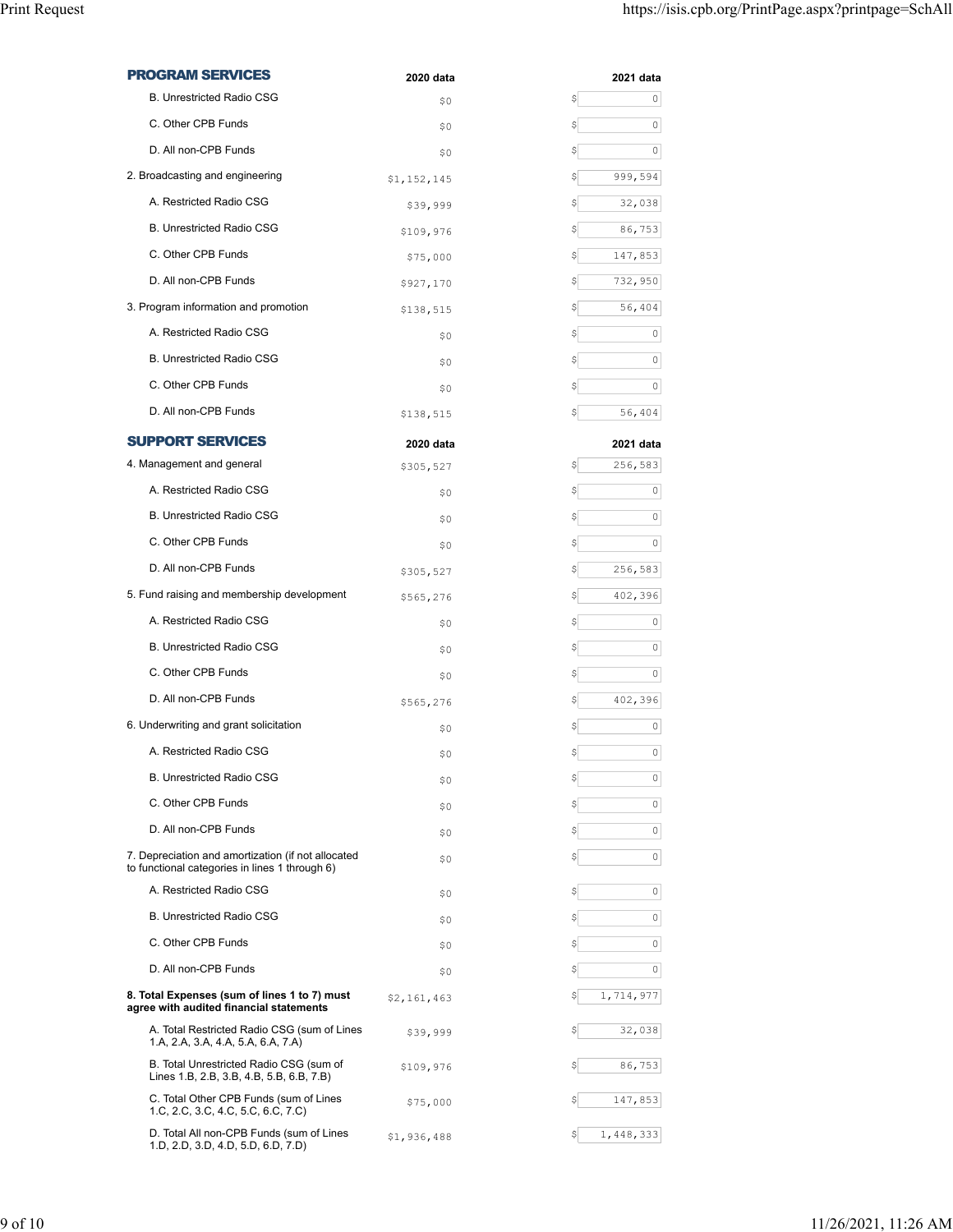| <b>PROGRAM SERVICES</b>                                                                              | 2020 data   | 2021 data         |
|------------------------------------------------------------------------------------------------------|-------------|-------------------|
| <b>B. Unrestricted Radio CSG</b>                                                                     | \$0         | \$<br>0           |
| C. Other CPB Funds                                                                                   | \$0         | \$<br>0           |
| D. All non-CPB Funds                                                                                 | \$0         | \$<br>0           |
| 2. Broadcasting and engineering                                                                      | \$1,152,145 | \$<br>999,594     |
| A. Restricted Radio CSG                                                                              | \$39,999    | \$<br>32,038      |
| <b>B. Unrestricted Radio CSG</b>                                                                     | \$109,976   | \$<br>86,753      |
| C. Other CPB Funds                                                                                   | \$75,000    | \$<br>147,853     |
| D. All non-CPB Funds                                                                                 | \$927,170   | \$<br>732,950     |
| 3. Program information and promotion                                                                 | \$138,515   | \$<br>56,404      |
| A. Restricted Radio CSG                                                                              | \$0         | \$<br>0           |
| <b>B. Unrestricted Radio CSG</b>                                                                     | \$0         | \$<br>0           |
| C. Other CPB Funds                                                                                   | \$0         | \$<br>0           |
| D. All non-CPB Funds                                                                                 | \$138,515   | \$<br>56,404      |
| <b>SUPPORT SERVICES</b>                                                                              | 2020 data   | 2021 data         |
| 4. Management and general                                                                            | \$305,527   | 256,583<br>\$     |
| A. Restricted Radio CSG                                                                              | \$0         | \$<br>0           |
| <b>B. Unrestricted Radio CSG</b>                                                                     | \$0         | \$<br>0           |
| C. Other CPB Funds                                                                                   | \$0         | \$<br>0           |
| D. All non-CPB Funds                                                                                 | \$305,527   | \$<br>256,583     |
| 5. Fund raising and membership development                                                           | \$565,276   | 402,396<br>\$     |
| A. Restricted Radio CSG                                                                              | \$0         | \$<br>0           |
| <b>B. Unrestricted Radio CSG</b>                                                                     | \$0         | \$<br>0           |
| C. Other CPB Funds                                                                                   | \$0         | \$<br>0           |
| D. All non-CPB Funds                                                                                 | \$565,276   | 402,396<br>\$     |
| 6. Underwriting and grant solicitation                                                               | \$0         | \$<br>0           |
| A. Restricted Radio CSG                                                                              | \$0         | \$<br>0           |
| <b>B. Unrestricted Radio CSG</b>                                                                     | \$0         | 0<br>Ş            |
| C. Other CPB Funds                                                                                   | \$0         | \$<br>0           |
| D. All non-CPB Funds                                                                                 | \$0         | \$<br>0           |
| 7. Depreciation and amortization (if not allocated<br>to functional categories in lines 1 through 6) | \$0         | 0<br>\$           |
| A. Restricted Radio CSG                                                                              | \$0         | 0<br>Ş            |
| <b>B. Unrestricted Radio CSG</b>                                                                     | \$0         | \$<br>0           |
| C. Other CPB Funds                                                                                   | \$0         | \$<br>0           |
| D. All non-CPB Funds                                                                                 | \$0         | \$<br>$\mathbb O$ |
| 8. Total Expenses (sum of lines 1 to 7) must<br>agree with audited financial statements              | \$2,161,463 | 1,714,977<br>\$   |
| A. Total Restricted Radio CSG (sum of Lines<br>1.A, 2.A, 3.A, 4.A, 5.A, 6.A, 7.A)                    | \$39,999    | \$<br>32,038      |
| B. Total Unrestricted Radio CSG (sum of<br>Lines 1.B, 2.B, 3.B, 4.B, 5.B, 6.B, 7.B)                  | \$109,976   | \$<br>86,753      |
| C. Total Other CPB Funds (sum of Lines<br>1.C, 2.C, 3.C, 4.C, 5.C, 6.C, 7.C)                         | \$75,000    | \$<br>147,853     |
| D. Total All non-CPB Funds (sum of Lines<br>1.D, 2.D, 3.D, 4.D, 5.D, 6.D, 7.D)                       | \$1,936,488 | 1,448,333<br>\$   |